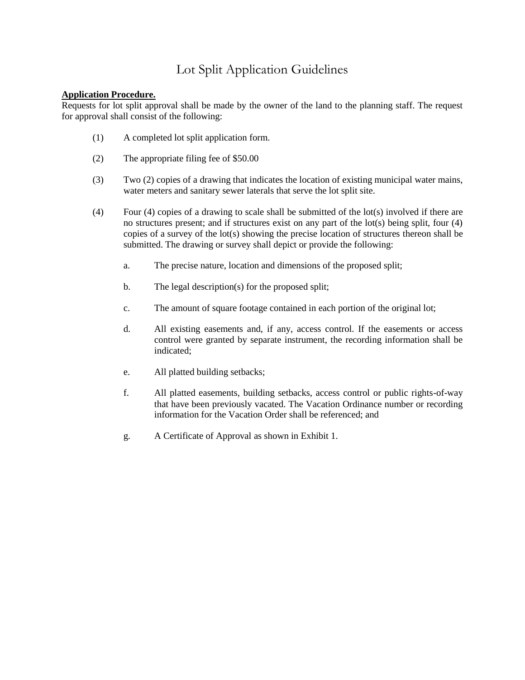# Lot Split Application Guidelines

## **Application Procedure.**

Requests for lot split approval shall be made by the owner of the land to the planning staff. The request for approval shall consist of the following:

- (1) A completed lot split application form.
- (2) The appropriate filing fee of \$50.00
- (3) Two (2) copies of a drawing that indicates the location of existing municipal water mains, water meters and sanitary sewer laterals that serve the lot split site.
- (4) Four (4) copies of a drawing to scale shall be submitted of the lot(s) involved if there are no structures present; and if structures exist on any part of the lot(s) being split, four (4) copies of a survey of the lot(s) showing the precise location of structures thereon shall be submitted. The drawing or survey shall depict or provide the following:
	- a. The precise nature, location and dimensions of the proposed split;
	- b. The legal description(s) for the proposed split;
	- c. The amount of square footage contained in each portion of the original lot;
	- d. All existing easements and, if any, access control. If the easements or access control were granted by separate instrument, the recording information shall be indicated;
	- e. All platted building setbacks;
	- f. All platted easements, building setbacks, access control or public rights-of-way that have been previously vacated. The Vacation Ordinance number or recording information for the Vacation Order shall be referenced; and
	- g. A Certificate of Approval as shown in Exhibit 1.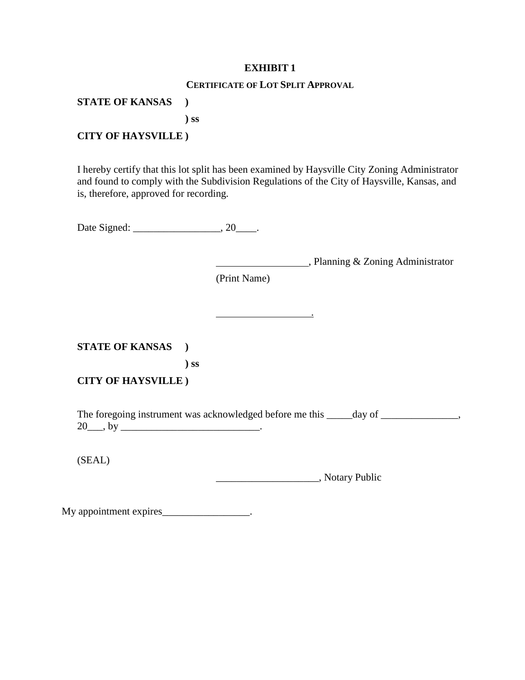## **EXHIBIT 1**

## **CERTIFICATE OF LOT SPLIT APPROVAL**

## **STATE OF KANSAS )**

**) ss**

## **CITY OF HAYSVILLE )**

I hereby certify that this lot split has been examined by Haysville City Zoning Administrator and found to comply with the Subdivision Regulations of the City of Haysville, Kansas, and is, therefore, approved for recording.

Date Signed: \_\_\_\_\_\_\_\_\_\_\_\_\_\_\_\_\_, 20\_\_\_\_.

, Planning & Zoning Administrator

(Print Name)

**STATE OF KANSAS ) ) ss**

**CITY OF HAYSVILLE )**

The foregoing instrument was acknowledged before me this \_\_\_\_\_day of \_\_\_\_\_\_\_\_\_\_\_\_,  $20\_\_$ , by  $\_\_$ 

.

(SEAL)

\_\_\_\_\_\_\_\_\_\_\_\_\_\_\_\_\_\_\_\_, Notary Public

My appointment expires